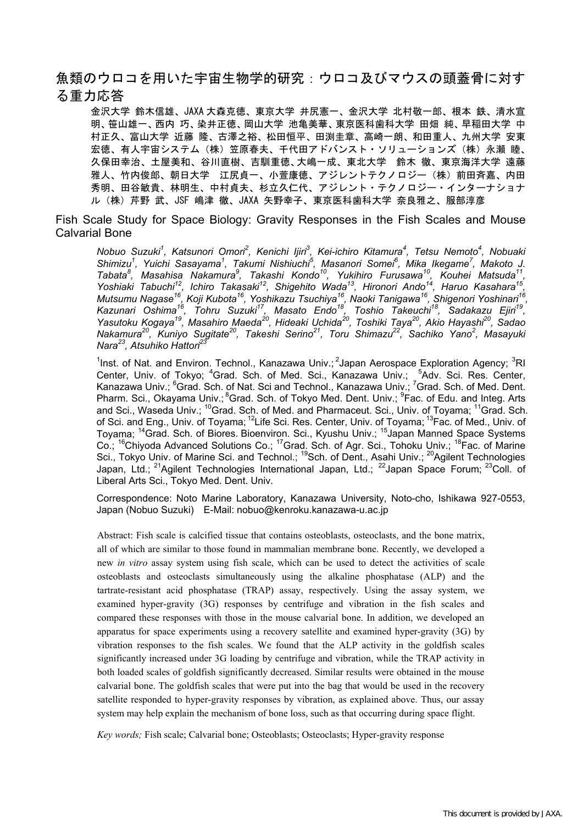# 魚類のウロコを用いた宇宙生物学的研究:ウロコ及びマウスの頭蓋骨に対す る重力応答

金沢大学 鈴木信雄、JAXA 大森克徳、東京大学 井尻憲一、金沢大学 北村敬一郎、根本 鉄、清水宣 明、笹山雄一、西内 巧、染井正徳、岡山大学 池亀美華、東京医科歯科大学 田畑 純、早稲田大学 中 村正久、富山大学 近藤 降、古澤之裕、松田恒平、田渕圭章、高崎一朗、和田重人、九州大学 安東 宏徳、有人宇宙システム (株) 笠原春夫、千代田アドバンスト・ソリューションズ (株) 永瀬 睦、 久保田幸治、土屋美和、谷川直樹、吉馴重徳、大嶋一成、東北大学 鈴木 徹、東京海洋大学 遠藤 雅人、竹内俊郎、朝日大学 江尻貞一、小萱康徳、アジレントテクノロジー (株) 前田斉嘉、内田 秀明、田谷敏貴、林明生、中村貞夫、杉立久仁代、アジレント・テクノロジー・インターナショナ ル (株) 芹野 武、JSF 嶋津 徹、JAXA 矢野幸子、東京医科歯科大学 奈良雅之、服部淳彦

Fish Scale Study for Space Biology: Gravity Responses in the Fish Scales and Mouse **Calvarial Bone** 

Nobuo Suzuki<sup>1</sup>, Katsunori Omori<sup>2</sup>, Kenichi Ijiri<sup>3</sup>, Kei-ichiro Kitamura<sup>4</sup>, Tetsu Nemoto<sup>4</sup>, Nobuaki<br>Shimizu<sup>1</sup>, Yuichi Sasayama<sup>1</sup>, Takumi Nishiuchi<sup>5</sup>, Masanori Somei<sup>6</sup>, Mika Ikegame<sup>7</sup>, Makoto J. Shimizu', Yuichi Sasayama', Takumi Nishiuchi<sup>x</sup>, Masanori Somei<sup>c</sup>, Mika Ikegame', Makoto J.<br>Tabata<sup>8</sup>, Masahisa Nakamura<sup>9</sup>, Takashi Kondo<sup>10</sup>, Yukihiro Furusawa<sup>10</sup>, Kouhei Matsuda<sup>11</sup>,<br>Yoshiaki Tabuchi<sup>12</sup>, Ichiro Takas Nara<sup>23</sup>, Atsuhiko Hattori<sup>23</sup>

<sup>1</sup>Inst. of Nat. and Environ. Technol., Kanazawa Univ.; <sup>2</sup>Japan Aerospace Exploration Agency; <sup>3</sup>RI Center, Univ. of Tokyo; <sup>4</sup>Grad. Sch. of Med. Sci., Kanazawa Univ.; <sup>5</sup>Adv. Sci. Res. Center, Kanazawa Univ.; <sup>6</sup>Grad. Sch. of Nat. Sci and Technol., Kanazawa Univ.; <sup>7</sup>Grad. Sch. of Med. Dent. Pharm. Sci., Okayama Univ.; <sup>8</sup>Grad. Sch. of Tokyo Med. Dent. Univ.; <sup>9</sup>Fac. of Edu. and Integ. Arts Friam: Sci., Okayama Univ., Grad. Sch. of Ned. and Pharmaceut. Sci., Univ., Fac. of Edu. and flieg. Arts<br>and Sci., Waseda Univ.; <sup>10</sup>Grad. Sch. of Med. and Pharmaceut. Sci., Univ. of Toyama; <sup>11</sup>Grad. Sch.<br>of Sci. and Eng. Japan, Ltd.; <sup>21</sup>Agilent Technologies International Japan, Ltd.; <sup>22</sup>Japan Space Forum; <sup>23</sup>Coll. of Liberal Arts Sci., Tokyo Med. Dent. Univ.

Correspondence: Noto Marine Laboratory, Kanazawa University, Noto-cho, Ishikawa 927-0553, Japan (Nobuo Suzuki) E-Mail: nobuo@kenroku.kanazawa-u.ac.jp

Abstract: Fish scale is calcified tissue that contains osteoblasts, osteoclasts, and the bone matrix. all of which are similar to those found in mammalian membrane bone. Recently, we developed a new *in vitro* assay system using fish scale, which can be used to detect the activities of scale osteoblasts and osteoclasts simultaneously using the alkaline phosphatase (ALP) and the tartrate-resistant acid phosphatase (TRAP) assay, respectively. Using the assay system, we examined hyper-gravity (3G) responses by centrifuge and vibration in the fish scales and compared these responses with those in the mouse calvarial bone. In addition, we developed an apparatus for space experiments using a recovery satellite and examined hyper-gravity  $(3G)$  by vibration responses to the fish scales. We found that the ALP activity in the goldfish scales significantly increased under 3G loading by centrifuge and vibration, while the TRAP activity in both loaded scales of goldfish significantly decreased. Similar results were obtained in the mouse calvarial bone. The goldfish scales that were put into the bag that would be used in the recovery satellite responded to hyper-gravity responses by vibration, as explained above. Thus, our assay system may help explain the mechanism of bone loss, such as that occurring during space flight.

Key words; Fish scale; Calvarial bone; Osteoblasts; Osteoclasts; Hyper-gravity response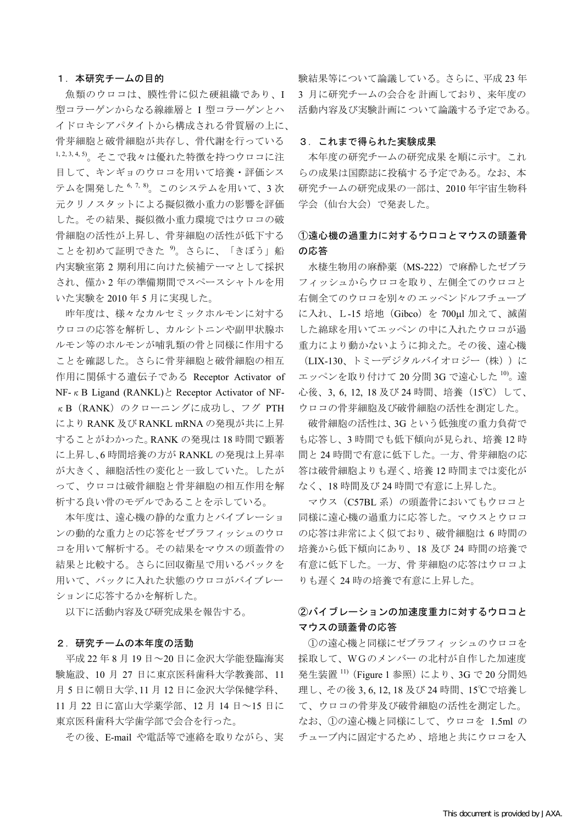#### 1. 本研究チームの目的

魚類のウロコは、膜性骨に似た硬組織であり、I 型コラーゲンからなる線維層と I 型コラーゲンとハ イドロキシアパタイトから構成される骨質層の上に、 骨芽細胞と破骨細胞が共存し、骨代謝を行っている 1,2,3,4,5)。そこで我々は優れた特徴を持つウロコに注 目して、キンギョのウロコを用いて培養・評価シス テムを開発した<sup>6,7,8</sup>。このシステムを用いて、3次 元クリノスタットによる擬似微小重力の影響を評価 した。その結果、擬似微小重力環境ではウロコの破 骨細胞の活性が上昇し、骨芽細胞の活性が低下する ことを初めて証明できた<sup>9</sup>。さらに、「きぼう」船 内実験室第2期利用に向けた候補テーマとして採択 され、僅か2年の準備期間でスペースシャトルを用 いた実験を2010年5月に実現した。

昨年度は、様々なカルセミックホルモンに対する ウロコの応答を解析し、カルシトニンや副甲状腺ホ ルモン等のホルモンが哺乳類の骨と同様に作用する ことを確認した。さらに骨芽細胞と破骨細胞の相互 作用に関係する遺伝子である Receptor Activator of NF-  $\kappa$  B Ligand (RANKL)  $\geq$  Receptor Activator of NFκ B (RANK) のクローニングに成功し、フグ PTH により RANK 及び RANKL mRNA の発現が共に上昇 することがわかった。RANKの発現は18時間で顕著 に上昇し、6時間培養の方が RANKL の発現は上昇率 が大きく、細胞活性の変化と一致していた。したが って、ウロコは破骨細胞と骨芽細胞の相互作用を解 析する良い骨のモデルであることを示している。

本年度は、遠心機の静的な重力とバイブレーショ ンの動的な重力との応答をゼブラフィッシュのウロ コを用いて解析する。その結果をマウスの頭蓋骨の 結果と比較する。さらに回収衛星で用いるバックを 用いて、バックに入れた状態のウロコがバイブレー ションに応答するかを解析した。

以下に活動内容及び研究成果を報告する。

#### 2. 研究チームの本年度の活動

平成22年8月19日~20日に金沢大学能登臨海実 験施設、10月27日に東京医科歯科大学教養部、11 月5日に朝日大学、11月12日に金沢大学保健学科、 11月22日に富山大学薬学部、12月14日~15日に 東京医科歯科大学歯学部で会合を行った。

その後、E-mail や電話等で連絡を取りながら、実

験結果等について論議している。さらに、平成23年 3 月に研究チームの会合を計画しており、来年度の 活動内容及び実験計画について論議する予定である。

### 3. これまで得られた実験成果

本年度の研究チームの研究成果を順に示す。これ らの成果は国際誌に投稿する予定である。なお、本 研究チームの研究成果の一部は、2010年宇宙生物科 学会(仙台大会)で発表した。

## ①遠心機の過重力に対するウロコとマウスの頭蓋骨 の応答

水棲生物用の麻酔薬 (MS-222) で麻酔したゼブラ フィッシュからウロコを取り、左側全てのウロコと 右側全てのウロコを別々のエッペンドルフチューブ に入れ、L-15 培地 (Gibco) を 700μl 加えて、滅菌 した綿球を用いてエッペンの中に入れたウロコが過 重力により動かないように抑えた。その後、遠心機 (LIX-130、トミーデジタルバイオロジー (株))に エッペンを取り付けて 20 分間 3G で遠心した 10)。遠 心後、3.6.12.18及び24時間、培養 (15℃) して、 ウロコの骨芽細胞及び破骨細胞の活性を測定した。

破骨細胞の活性は、3Gという低強度の重力負荷で も応答し、3時間でも低下傾向が見られ、培養12時 間と24時間で有意に低下した。一方、骨芽細胞の応 答は破骨細胞よりも遅く、培養12時間までは変化が なく、18時間及び24時間で有意に上昇した。

マウス (C57BL 系) の頭蓋骨においてもウロコと 同様に遠心機の過重力に応答した。マウスとウロコ の応答は非常によく似ており、破骨細胞は6時間の 培養から低下傾向にあり、18 及び 24 時間の培養で 有意に低下した。一方、骨芽細胞の応答はウロコよ りも遅く24時の培養で有意に上昇した。

## ②バイブレーションの加速度重力に対するウロコと マウスの頭蓋骨の応答

1の遠心機と同様にゼブラフィッシュのウロコを 採取して、WGのメンバーの北村が自作した加速度 発生装置<sup>11)</sup> (Figure 1参照) により、3G で20分間処 理し、その後 3, 6, 12, 18 及び 24 時間、15℃で培養し て、ウロコの骨芽及び破骨細胞の活性を測定した。 なお、1の遠心機と同様にして、ウロコを 1.5ml の チューブ内に固定するため、培地と共にウロコを入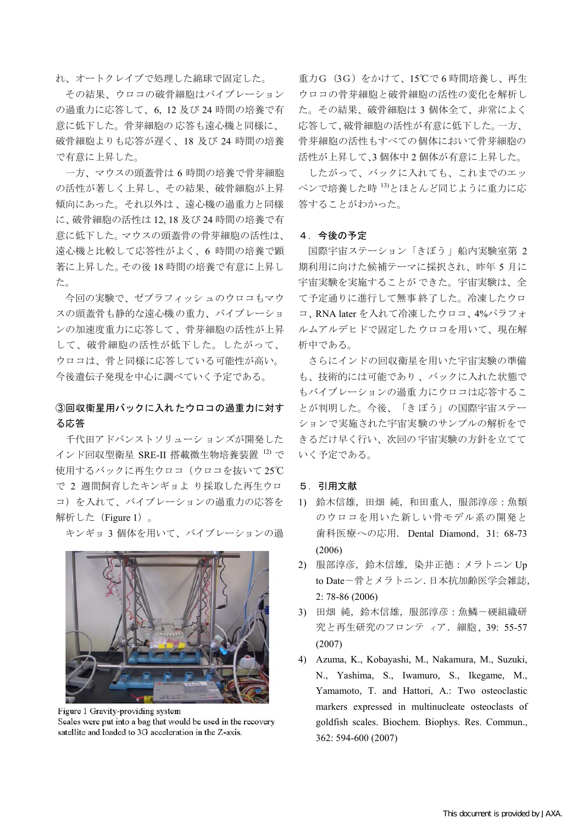れ、オートクレイブで処理した綿球で固定した。

その結果、ウロコの破骨細胞はバイブレーション の過重力に応答して、6,12及び24時間の培養で有 意に低下した。骨芽細胞の応答も遠心機と同様に、 破骨細胞よりも応答が遅く、18 及び 24 時間の培養 で有意に上昇した。

一方、マウスの頭蓋骨は6時間の培養で骨芽細胞 の活性が著しく上昇し、その結果、破骨細胞が上昇 傾向にあった。それ以外は、遠心機の過重力と同様 に、破骨細胞の活性は 12, 18 及び 24 時間の培養で有 意に低下した。マウスの頭蓋骨の骨芽細胞の活性は、 遠心機と比較して応答性がよく、6時間の培養で顕 著に上昇した。その後18時間の培養で有意に上昇し た。

今回の実験で、ゼブラフィッシュのウロコもマウ スの頭蓋骨も静的な遠心機の重力、バイブレーショ ンの加速度重力に応答して、骨芽細胞の活性が上昇 して、破骨細胞の活性が低下した。したがって、 ウロコは、骨と同様に応答している可能性が高い。 今後遺伝子発現を中心に調べていく予定である。

## 3回収衛星用バックに入れたウロコの過重力に対す る応答

千代田アドバンストソリューションズが開発した インド回収型衛星 SRE-II 搭載微生物培養装置 12) で 使用するバックに再生ウロコ(ウロコを抜いて25℃ で 2 週間飼育したキンギョよ り採取した再生ウロ コ)を入れて、バイブレーションの過重力の応答を 解析した (Figure 1)。

キンギョ3個体を用いて、バイブレーションの過



Figure 1 Gravity-providing system Scales were put into a bag that would be used in the recovery satellite and loaded to 3G acceleration in the Z-axis.

重力G (3G) をかけて、15℃で6時間培養し、再生 ウロコの骨芽細胞と破骨細胞の活性の変化を解析し た。その結果、破骨細胞は3個体全て、非常によく 応答して、破骨細胞の活性が有意に低下した。一方、 骨芽細胞の活性もすべての個体において骨芽細胞の 活性が上昇して、3個体中2個体が有意に上昇した。

したがって、バックに入れても、これまでのエッ ペンで培養した時 13)とほとんど同じように重力に応 答することがわかった。

#### 4. 今後の予定

国際宇宙ステーション「きぼう」船内実験室第 2 期利用に向けた候補テーマに採択され、昨年5月に 宇宙実験を実施することができた。宇宙実験は、全 て予定通りに進行して無事終了した。冷凍したウロ コ、RNA later を入れて冷凍したウロコ、4%パラフォ ルムアルデヒドで固定したウロコを用いて、現在解 析中である。

さらにインドの回収衛星を用いた宇宙実験の準備 も、技術的には可能であり、バックに入れた状態で もバイブレーションの過重力にウロコは応答するこ とが判明した。今後、「きぼう」の国際宇宙ステー ションで実施された宇宙実験のサンプルの解析をで きるだけ早く行い、次回の宇宙実験の方針を立てて いく予定である。

### 5. 引用文献

- 1) 鈴木信雄, 田畑 純, 和田重人, 服部淳彦: 魚類 のウロコを用いた新しい骨モデル系の開発と 歯科医療への応用. Dental Diamond, 31: 68-73  $(2006)$
- 2) 服部淳彦, 鈴木信雄, 染井正徳: メラトニン Up to Date-骨とメラトニン. 日本抗加齢医学会雑誌,  $2:78-86(2006)$
- 3) 田畑 純,鈴木信雄,服部淳彦:魚鱗-硬組織研 究と再生研究のフロンティア. 細胞、39: 55-57  $(2007)$
- 4) Azuma, K., Kobayashi, M., Nakamura, M., Suzuki, N., Yashima, S., Iwamuro, S., Ikegame, M., Yamamoto, T. and Hattori, A.: Two osteoclastic markers expressed in multinucleate osteoclasts of goldfish scales. Biochem. Biophys. Res. Commun., 362: 594-600 (2007)